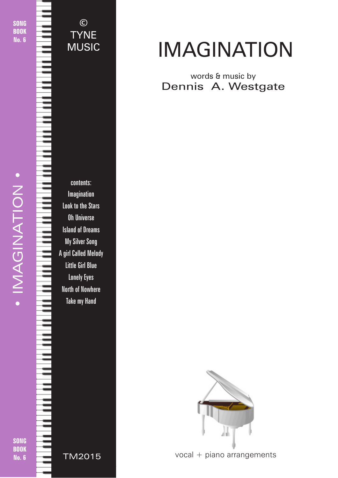SONG **BOOK** No. 6

© **TYNE** MUSIC



contents: Imagination Look to the Stars Oh Universe Island of Dreams My Silver Song A girl Called Melody Little Girl Blue Lonely Eyes North of Nowhere Take my Hand

IMAGINATION

words & music by Dennis A. Westgate



vocal + piano arrangements

© 2018 - Imagination - TYNE MUSIC - tynemusiclimited@gmail.com

SONG **BOOK** No. 6

TM2015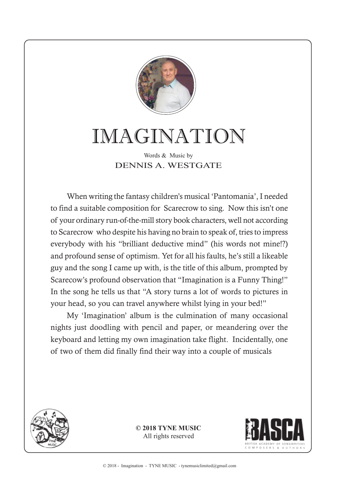

## IMAGINATION

Words & Music by DENNIS A. WESTGATE

When writing the fantasy children's musical 'Pantomania', I needed to find a suitable composition for Scarecrow to sing. Now this isn't one of your ordinary run-of-the-mill story book characters, well not according to Scarecrow who despite his having no brain to speak of, tries to impress everybody with his "brilliant deductive mind" (his words not mine!?) and profound sense of optimism. Yet for all his faults, he's still a likeable guy and the song I came up with, is the title of this album, prompted by Scarecow's profound observation that "Imagination is a Funny Thing!" In the song he tells us that "A story turns a lot of words to pictures in your head, so you can travel anywhere whilst lying in your bed!"

My 'Imagination' album is the culmination of many occasional nights just doodling with pencil and paper, or meandering over the keyboard and letting my own imagination take flight. Incidentally, one of two of them did finally find their way into a couple of musicals



**© 2018 TYNE MUSIC** All rights reserved

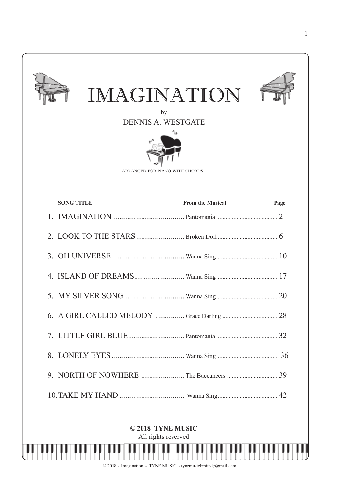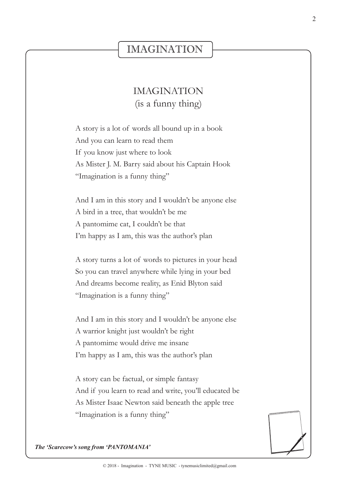## IMAGINATION

## IMAGINATION (is a funny thing)

A story is a lot of words all bound up in a book And you can learn to read them If you know just where to look As Mister J. M. Barry said about his Captain Hook "Imagination is a funny thing"

And I am in this story and I wouldn't be anyone else A bird in a tree, that wouldn't be me A pantomime cat, I couldn't be that I'm happy as I am, this was the author's plan

A story turns a lot of words to pictures in your head So you can travel anywhere while lying in your bed And dreams become reality, as Enid Blyton said "Imagination is a funny thing"

And I am in this story and I wouldn't be anyone else A warrior knight just wouldn't be right A pantomime would drive me insane I'm happy as I am, this was the author's plan

A story can be factual, or simple fantasy And if you learn to read and write, you'll educated be As Mister Isaac Newton said beneath the apple tree "Imagination is a funny thing"



*The 'Scarecow's song from 'PANTOMANIA'*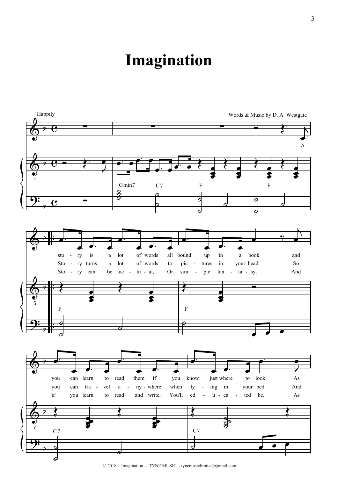## **Imagination**